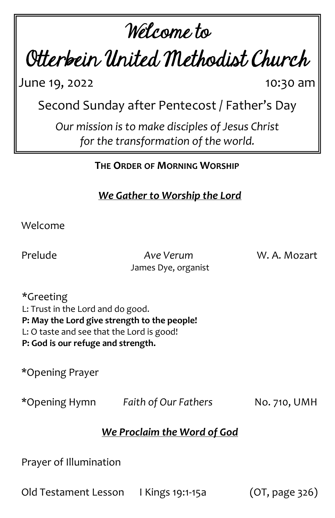# Welcome to

Otterbein United Methodist Church

June 19, 2022 10:30 am

Second Sunday after Pentecost / Father's Day

*Our mission is to make disciples of Jesus Christ for the transformation of the world.*

**THE ORDER OF MORNING WORSHIP**

*We Gather to Worship the Lord*

Welcome

Prelude *Ave Verum* W. A. Mozart James Dye, organist

\*Greeting L: Trust in the Lord and do good. **P: May the Lord give strength to the people!** L: O taste and see that the Lord is good! **P: God is our refuge and strength.**

\*Opening Prayer

\*Opening Hymn *Faith of Our Fathers* No. 710, UMH

# *We Proclaim the Word of God*

Prayer of Illumination

Old Testament Lesson I Kings 19:1-15a (OT, page 326)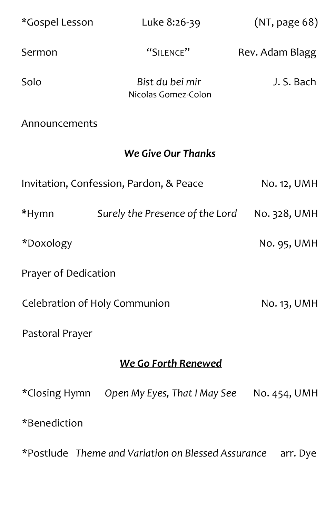| *Gospel Lesson                | Luke 8:26-39                            | (NT, page 68)   |
|-------------------------------|-----------------------------------------|-----------------|
| Sermon                        | "SILENCE"                               | Rev. Adam Blagg |
| Solo                          | Bist du bei mir<br>Nicolas Gomez-Colon  | J. S. Bach      |
| Announcements                 |                                         |                 |
| <b>We Give Our Thanks</b>     |                                         |                 |
|                               | Invitation, Confession, Pardon, & Peace | No. 12, UMH     |
| *Hymn                         | Surely the Presence of the Lord         | No. 328, UMH    |
| *Doxology                     |                                         | No. 95, UMH     |
| Prayer of Dedication          |                                         |                 |
| Celebration of Holy Communion |                                         | No. 13, UMH     |
| Pastoral Prayer               |                                         |                 |
| We Go Forth Renewed           |                                         |                 |
| *Closing Hymn                 | Open My Eyes, That I May See            | No. 454, UMH    |
| *Benediction                  |                                         |                 |

\*Postlude *Theme and Variation on Blessed Assurance* arr. Dye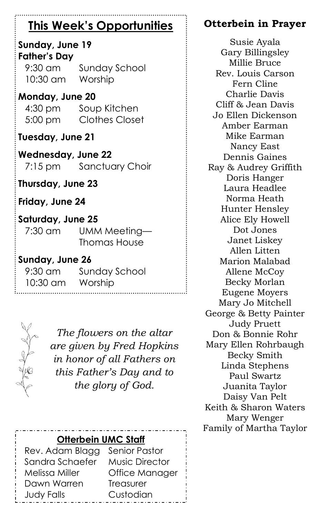# **This Week's Opportunities**

#### **Sunday, June 19 Father's Day**

9:30 am Sunday School 10:30 am Worship

**Monday, June 20** 4:30 pm Soup Kitchen 5:00 pm Clothes Closet

**Tuesday, June 21**

**Wednesday, June 22** 7:15 pm Sanctuary Choir

**Thursday, June 23**

**Friday, June 24**

### **Saturday, June 25**

7:30 am UMM Meeting— Thomas House

#### **Sunday, June 26**

9:30 am Sunday School 10:30 am Worship



*The flowers on the altar are given by Fred Hopkins in honor of all Fathers on this Father's Day and to the glory of God.*

# **Otterbein UMC Staff**

Rev. Adam Blagg Senior Pastor Sandra Schaefer Music Director Melissa Miller Office Manager Dawn Warren Treasurer Judy Falls Custodian

# **Otterbein in Prayer**

Susie Ayala Gary Billingsley Millie Bruce Rev. Louis Carson Fern Cline Charlie Davis Cliff & Jean Davis Jo Ellen Dickenson Amber Earman Mike Earman Nancy East Dennis Gaines Ray & Audrey Griffith Doris Hanger Laura Headlee Norma Heath Hunter Hensley Alice Ely Howell Dot Jones Janet Liskey Allen Litten Marion Malabad Allene McCoy Becky Morlan Eugene Moyers Mary Jo Mitchell George & Betty Painter Judy Pruett Don & Bonnie Rohr Mary Ellen Rohrbaugh Becky Smith Linda Stephens Paul Swartz Juanita Taylor Daisy Van Pelt Keith & Sharon Waters Mary Wenger Family of Martha Taylor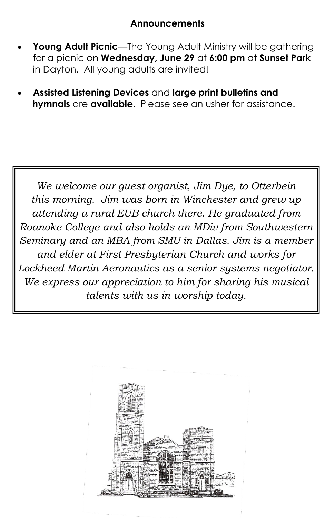#### **Announcements**

- **Young Adult Picnic**—The Young Adult Ministry will be gathering for a picnic on **Wednesday, June 29** at **6:00 pm** at **Sunset Park**  in Dayton. All young adults are invited!
- **Assisted Listening Devices** and **large print bulletins and hymnals** are **available**. Please see an usher for assistance.

*We welcome our guest organist, Jim Dye, to Otterbein this morning. Jim was born in Winchester and grew up attending a rural EUB church there. He graduated from Roanoke College and also holds an MDiv from Southwestern Seminary and an MBA from SMU in Dallas. Jim is a member and elder at First Presbyterian Church and works for Lockheed Martin Aeronautics as a senior systems negotiator. We express our appreciation to him for sharing his musical talents with us in worship today.*